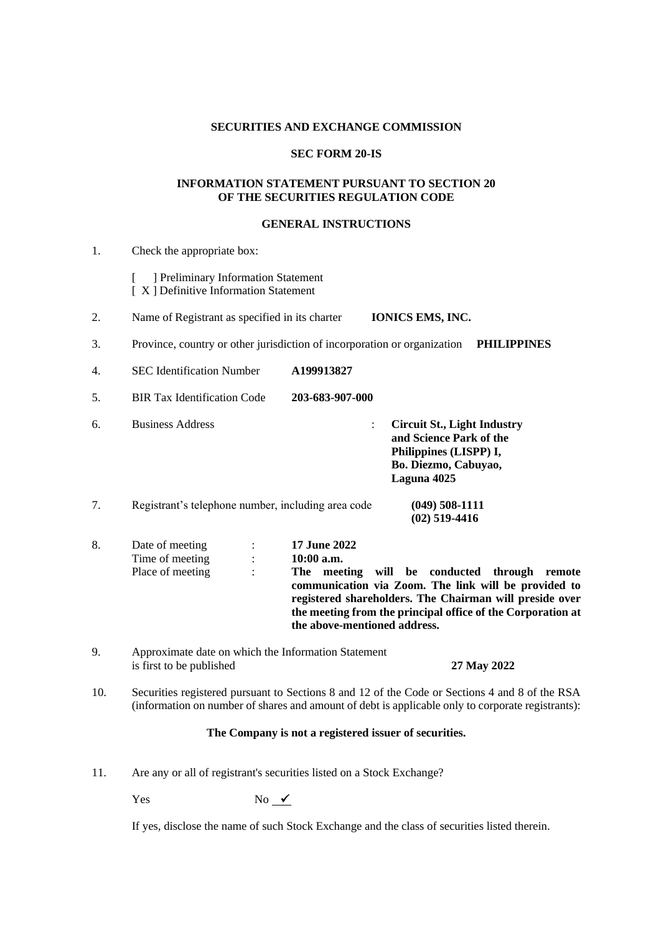# **SECURITIES AND EXCHANGE COMMISSION**

# **SEC FORM 20-IS**

### **INFORMATION STATEMENT PURSUANT TO SECTION 20 OF THE SECURITIES REGULATION CODE**

### **GENERAL INSTRUCTIONS**

| 1. | Check the appropriate box:                                                  |                                                                                                       |                                                                                                                                |                                                                                                                                                                                          |
|----|-----------------------------------------------------------------------------|-------------------------------------------------------------------------------------------------------|--------------------------------------------------------------------------------------------------------------------------------|------------------------------------------------------------------------------------------------------------------------------------------------------------------------------------------|
|    | ] Preliminary Information Statement<br>[X] Definitive Information Statement |                                                                                                       |                                                                                                                                |                                                                                                                                                                                          |
| 2. | Name of Registrant as specified in its charter                              |                                                                                                       | <b>IONICS EMS, INC.</b>                                                                                                        |                                                                                                                                                                                          |
| 3. | Province, country or other jurisdiction of incorporation or organization    |                                                                                                       |                                                                                                                                | <b>PHILIPPINES</b>                                                                                                                                                                       |
| 4. | <b>SEC</b> Identification Number                                            | A199913827                                                                                            |                                                                                                                                |                                                                                                                                                                                          |
| 5. | <b>BIR Tax Identification Code</b>                                          | 203-683-907-000                                                                                       |                                                                                                                                |                                                                                                                                                                                          |
| 6. | <b>Business Address</b>                                                     | $\ddot{\cdot}$                                                                                        | <b>Circuit St., Light Industry</b><br>and Science Park of the<br>Philippines (LISPP) I,<br>Bo. Diezmo, Cabuyao,<br>Laguna 4025 |                                                                                                                                                                                          |
| 7. | Registrant's telephone number, including area code                          |                                                                                                       | $(049)$ 508-1111<br>$(02)$ 519-4416                                                                                            |                                                                                                                                                                                          |
| 8. | Date of meeting<br>$\vdots$<br>Time of meeting<br>Place of meeting          | 17 June 2022<br>$10:00$ a.m.<br>The meeting will be conducted through<br>the above-mentioned address. |                                                                                                                                | remote<br>communication via Zoom. The link will be provided to<br>registered shareholders. The Chairman will preside over<br>the meeting from the principal office of the Corporation at |

- 9. Approximate date on which the Information Statement is first to be published **27 May 2022**
- 10. Securities registered pursuant to Sections 8 and 12 of the Code or Sections 4 and 8 of the RSA (information on number of shares and amount of debt is applicable only to corporate registrants):

# **The Company is not a registered issuer of securities.**

11. Are any or all of registrant's securities listed on a Stock Exchange?

 $Yes$  No  $\sqrt{ }$ 

If yes, disclose the name of such Stock Exchange and the class of securities listed therein.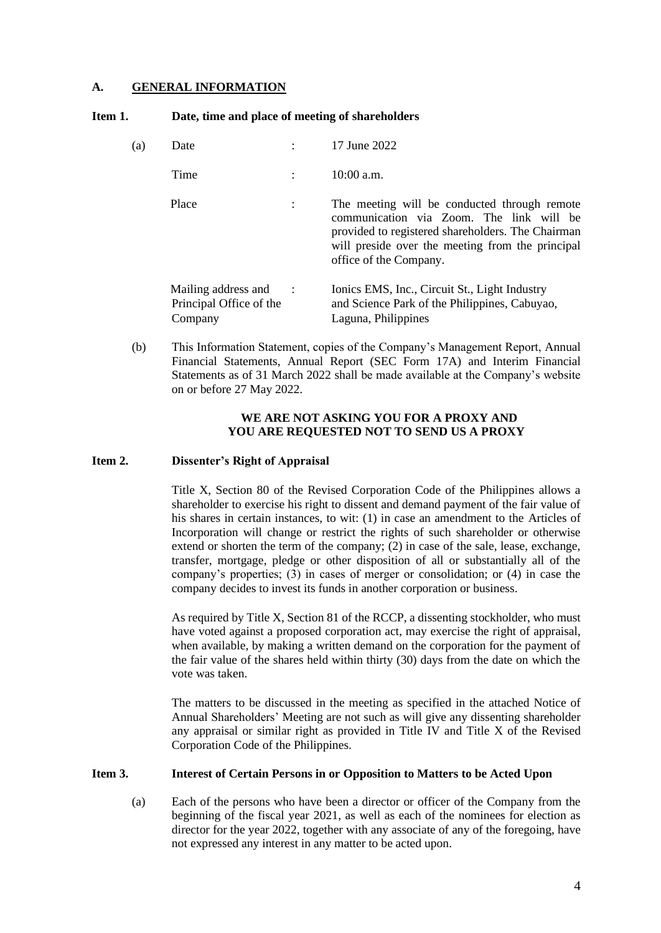# **A. GENERAL INFORMATION**

| Item 1. | Date, time and place of meeting of shareholders |
|---------|-------------------------------------------------|
|---------|-------------------------------------------------|

| (a) | Date                                                      |           | 17 June 2022                                                                                                                                                                                                                |
|-----|-----------------------------------------------------------|-----------|-----------------------------------------------------------------------------------------------------------------------------------------------------------------------------------------------------------------------------|
|     | Time                                                      |           | $10:00$ a.m.                                                                                                                                                                                                                |
|     | Place                                                     |           | The meeting will be conducted through remote<br>communication via Zoom. The link will be<br>provided to registered shareholders. The Chairman<br>will preside over the meeting from the principal<br>office of the Company. |
|     | Mailing address and<br>Principal Office of the<br>Company | $\cdot$ : | Ionics EMS, Inc., Circuit St., Light Industry<br>and Science Park of the Philippines, Cabuyao,<br>Laguna, Philippines                                                                                                       |

(b) This Information Statement, copies of the Company's Management Report, Annual Financial Statements, Annual Report (SEC Form 17A) and Interim Financial Statements as of 31 March 2022 shall be made available at the Company's website on or before 27 May 2022.

# **WE ARE NOT ASKING YOU FOR A PROXY AND YOU ARE REQUESTED NOT TO SEND US A PROXY**

### **Item 2. Dissenter's Right of Appraisal**

Title X, Section 80 of the Revised Corporation Code of the Philippines allows a shareholder to exercise his right to dissent and demand payment of the fair value of his shares in certain instances, to wit: (1) in case an amendment to the Articles of Incorporation will change or restrict the rights of such shareholder or otherwise extend or shorten the term of the company; (2) in case of the sale, lease, exchange, transfer, mortgage, pledge or other disposition of all or substantially all of the company's properties; (3) in cases of merger or consolidation; or (4) in case the company decides to invest its funds in another corporation or business.

As required by Title X, Section 81 of the RCCP, a dissenting stockholder, who must have voted against a proposed corporation act, may exercise the right of appraisal, when available, by making a written demand on the corporation for the payment of the fair value of the shares held within thirty (30) days from the date on which the vote was taken.

The matters to be discussed in the meeting as specified in the attached Notice of Annual Shareholders' Meeting are not such as will give any dissenting shareholder any appraisal or similar right as provided in Title IV and Title X of the Revised Corporation Code of the Philippines.

### **Item 3. Interest of Certain Persons in or Opposition to Matters to be Acted Upon**

(a) Each of the persons who have been a director or officer of the Company from the beginning of the fiscal year 2021, as well as each of the nominees for election as director for the year 2022, together with any associate of any of the foregoing, have not expressed any interest in any matter to be acted upon.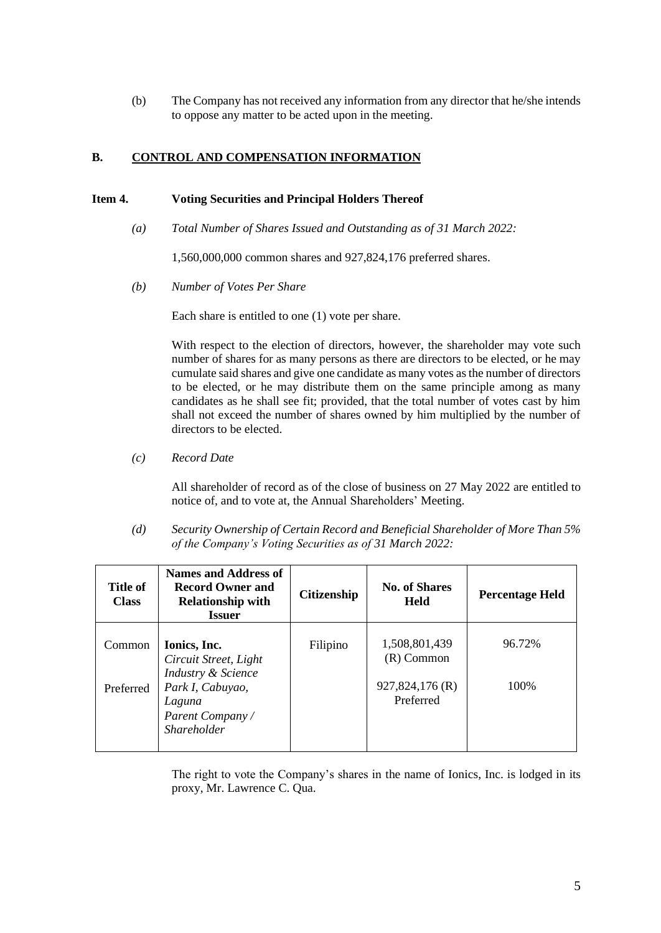(b) The Company has not received any information from any director that he/she intends to oppose any matter to be acted upon in the meeting.

# **B. CONTROL AND COMPENSATION INFORMATION**

# **Item 4. Voting Securities and Principal Holders Thereof**

*(a) Total Number of Shares Issued and Outstanding as of 31 March 2022:*

1,560,000,000 common shares and 927,824,176 preferred shares.

*(b) Number of Votes Per Share*

Each share is entitled to one (1) vote per share.

With respect to the election of directors, however, the shareholder may vote such number of shares for as many persons as there are directors to be elected, or he may cumulate said shares and give one candidate as many votes as the number of directors to be elected, or he may distribute them on the same principle among as many candidates as he shall see fit; provided, that the total number of votes cast by him shall not exceed the number of shares owned by him multiplied by the number of directors to be elected.

*(c) Record Date*

All shareholder of record as of the close of business on 27 May 2022 are entitled to notice of, and to vote at, the Annual Shareholders' Meeting.

*(d) Security Ownership of Certain Record and Beneficial Shareholder of More Than 5% of the Company's Voting Securities as of 31 March 2022:*

| Title of<br><b>Class</b> | <b>Names and Address of</b><br><b>Record Owner and</b><br><b>Relationship with</b><br><b>Issuer</b> | <b>Citizenship</b> | <b>No. of Shares</b><br><b>Held</b>              | <b>Percentage Held</b> |
|--------------------------|-----------------------------------------------------------------------------------------------------|--------------------|--------------------------------------------------|------------------------|
| Common<br>Preferred      | Ionics, Inc.<br>Circuit Street, Light<br>Industry & Science<br>Park I, Cabuyao,                     | Filipino           | 1,508,801,439<br>$(R)$ Common<br>927,824,176 (R) | 96.72%<br>100\%        |
|                          | Laguna<br>Parent Company/<br><i>Shareholder</i>                                                     |                    | Preferred                                        |                        |

The right to vote the Company's shares in the name of Ionics, Inc. is lodged in its proxy, Mr. Lawrence C. Qua.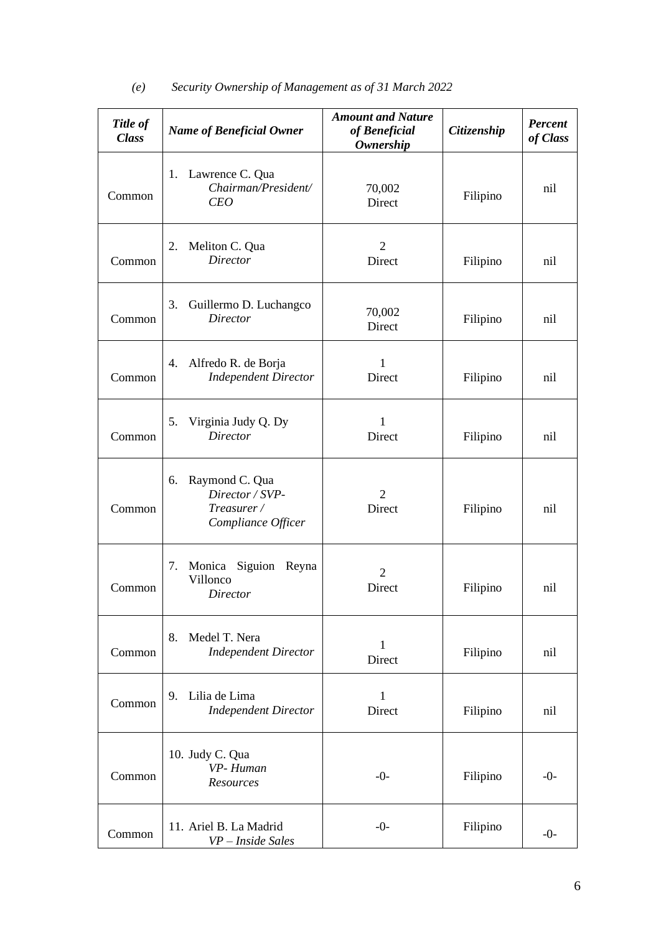| Title of<br><b>Class</b> | <b>Name of Beneficial Owner</b>                                             | <b>Amount and Nature</b><br>of Beneficial<br><b>Ownership</b> | Citizenship | <b>Percent</b><br>of Class |
|--------------------------|-----------------------------------------------------------------------------|---------------------------------------------------------------|-------------|----------------------------|
| Common                   | Lawrence C. Qua<br>1.<br>Chairman/President/<br><b>CEO</b>                  | 70,002<br>Direct                                              | Filipino    | nil                        |
| Common                   | Meliton C. Qua<br>2.<br><b>Director</b>                                     | $\overline{2}$<br>Direct                                      | Filipino    | nil                        |
| Common                   | 3.<br>Guillermo D. Luchangco<br><b>Director</b>                             | 70,002<br>Direct                                              | Filipino    | nil                        |
| Common                   | Alfredo R. de Borja<br>4.<br><b>Independent Director</b>                    | $\mathbf{1}$<br>Direct                                        | Filipino    | nil                        |
| Common                   | Virginia Judy Q. Dy<br>5.<br><b>Director</b>                                | 1<br>Direct                                                   | Filipino    | nil                        |
| Common                   | Raymond C. Qua<br>6.<br>Director / SVP-<br>Treasurer/<br>Compliance Officer | $\mathfrak{2}$<br>Direct                                      | Filipino    | nil                        |
| Common                   | Monica<br>Siguion Reyna<br>7.<br>Villonco<br><b>Director</b>                | $\overline{2}$<br>Direct                                      | Filipino    | nil                        |
| Common                   | Medel T. Nera<br>8.<br><b>Independent Director</b>                          | $\mathbf{1}$<br>Direct                                        | Filipino    | nil                        |
| Common                   | Lilia de Lima<br>9.<br><b>Independent Director</b>                          | 1<br>Direct                                                   | Filipino    | nil                        |
| Common                   | 10. Judy C. Qua<br>VP-Human<br>Resources                                    | $-0-$                                                         | Filipino    | $-0-$                      |
| Common                   | 11. Ariel B. La Madrid<br>VP - Inside Sales                                 | $-0-$                                                         | Filipino    | $-0-$                      |

# *(e) Security Ownership of Management as of 31 March 2022*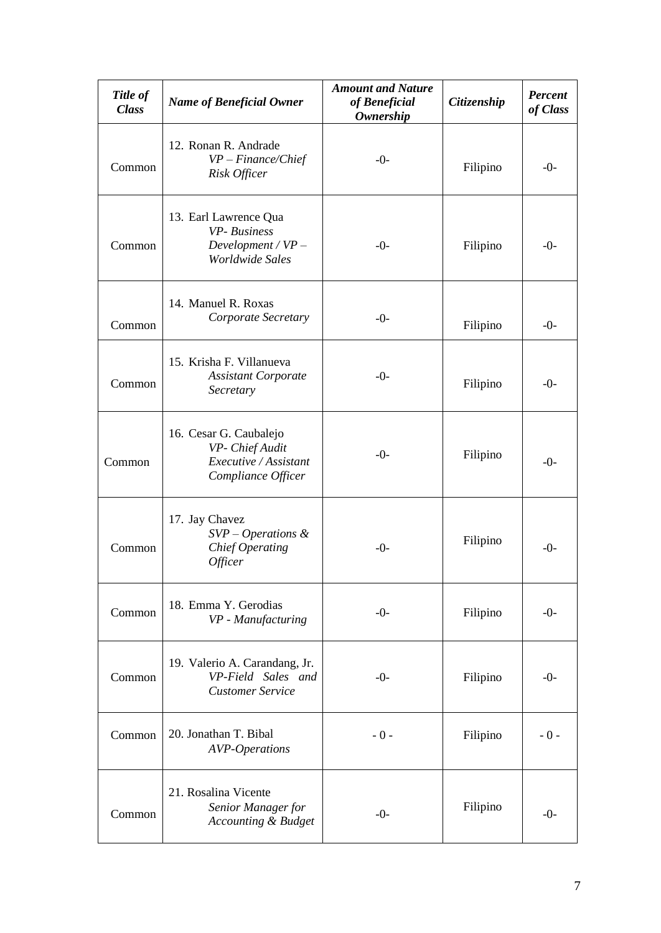| Title of<br><b>Class</b> | <b>Name of Beneficial Owner</b>                                                          | <b>Amount and Nature</b><br>of Beneficial<br><b>Ownership</b> | Citizenship | <b>Percent</b><br>of Class |
|--------------------------|------------------------------------------------------------------------------------------|---------------------------------------------------------------|-------------|----------------------------|
| Common                   | 12. Ronan R. Andrade<br>$VP-Finance/Chief$<br>Risk Officer                               | $-0-$                                                         | Filipino    | $-0-$                      |
| Common                   | 13. Earl Lawrence Qua<br>VP-Business<br>Development / $VP-$<br>Worldwide Sales           | $-()$ -                                                       | Filipino    | $-0-$                      |
| Common                   | 14. Manuel R. Roxas<br>Corporate Secretary                                               | $-0-$                                                         | Filipino    | $-0-$                      |
| Common                   | 15. Krisha F. Villanueva<br><b>Assistant Corporate</b><br>Secretary                      | $-0-$                                                         | Filipino    | $-0-$                      |
| Common                   | 16. Cesar G. Caubalejo<br>VP- Chief Audit<br>Executive / Assistant<br>Compliance Officer | $-()$ -                                                       | Filipino    | $-0-$                      |
| Common                   | 17. Jay Chavez<br>$SVP-Operations$ &<br><b>Chief Operating</b><br>Officer                | $-()$ -                                                       | Filipino    | $-0-$                      |
| Common                   | 18. Emma Y. Gerodias<br>VP - Manufacturing                                               | $-0-$                                                         | Filipino    | $-0-$                      |
| Common                   | 19. Valerio A. Carandang, Jr.<br>VP-Field Sales and<br><b>Customer Service</b>           | $-()$ -                                                       | Filipino    | $-0-$                      |
| Common                   | 20. Jonathan T. Bibal<br><b>AVP-Operations</b>                                           | $-0-$                                                         | Filipino    | $-0-$                      |
| Common                   | 21. Rosalina Vicente<br>Senior Manager for<br><b>Accounting &amp; Budget</b>             | $-0-$                                                         | Filipino    | $-0-$                      |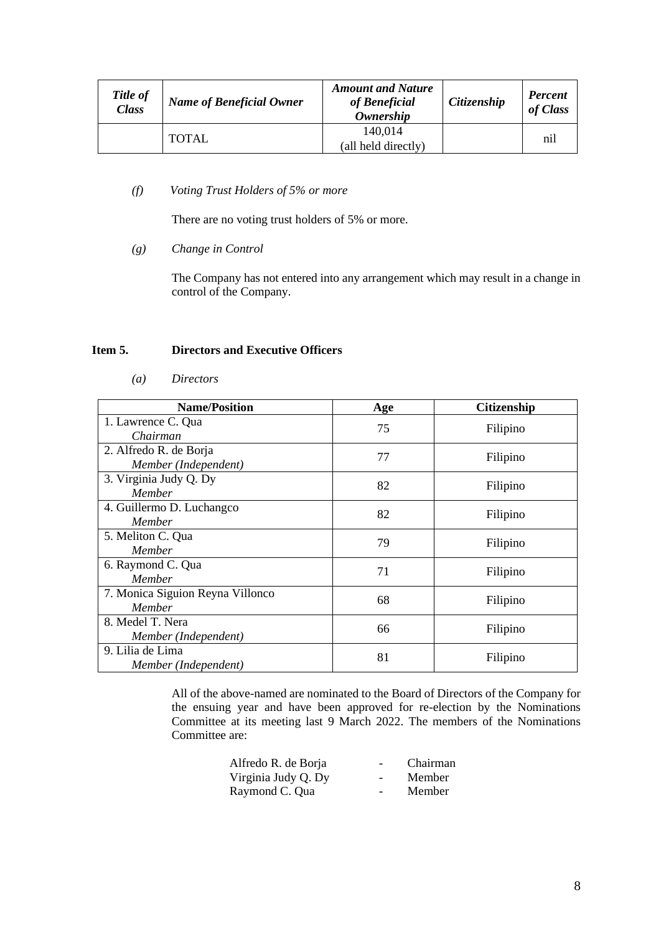| Title of<br><b>Class</b> | <b>Name of Beneficial Owner</b> | <b>Amount and Nature</b><br>of Beneficial<br><b>Ownership</b> | Citizenship | <b>Percent</b><br>of Class |
|--------------------------|---------------------------------|---------------------------------------------------------------|-------------|----------------------------|
|                          | <b>TOTAL</b>                    | 140.014<br>(all held directly)                                |             | nil                        |

# *(f) Voting Trust Holders of 5% or more*

There are no voting trust holders of 5% or more.

*(g) Change in Control*

The Company has not entered into any arrangement which may result in a change in control of the Company.

# **Item 5. Directors and Executive Officers**

| <i>Directors</i><br>$\left(a\right)$ |
|--------------------------------------|
|--------------------------------------|

| <b>Name/Position</b>                           | Age | <b>Citizenship</b> |
|------------------------------------------------|-----|--------------------|
| 1. Lawrence C. Qua<br>Chairman                 | 75  | Filipino           |
| 2. Alfredo R. de Borja<br>Member (Independent) | 77  | Filipino           |
| 3. Virginia Judy Q. Dy<br><b>Member</b>        | 82  | Filipino           |
| 4. Guillermo D. Luchangco<br>Member            | 82  | Filipino           |
| 5. Meliton C. Qua<br>Member                    | 79  | Filipino           |
| 6. Raymond C. Qua<br>Member                    | 71  | Filipino           |
| 7. Monica Siguion Reyna Villonco<br>Member     | 68  | Filipino           |
| 8. Medel T. Nera<br>Member (Independent)       | 66  | Filipino           |
| 9. Lilia de Lima<br>Member (Independent)       | 81  | Filipino           |

All of the above-named are nominated to the Board of Directors of the Company for the ensuing year and have been approved for re-election by the Nominations Committee at its meeting last 9 March 2022. The members of the Nominations Committee are:

| Alfredo R. de Borja | $\overline{\phantom{a}}$ | Chairman |
|---------------------|--------------------------|----------|
| Virginia Judy Q. Dy | $\overline{\phantom{a}}$ | Member   |
| Raymond C. Qua      | $\qquad \qquad$          | Member   |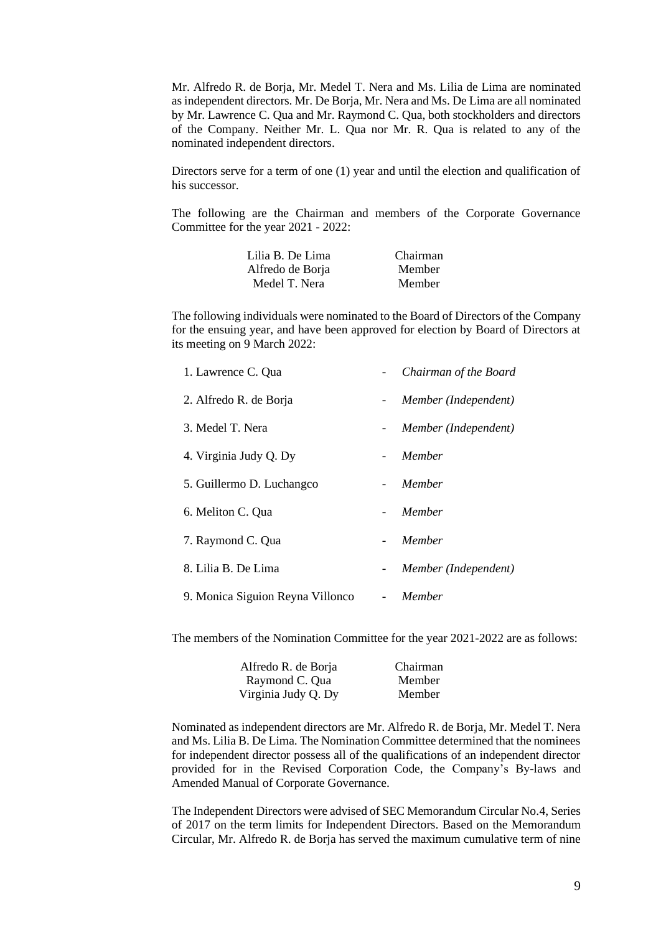Mr. Alfredo R. de Borja, Mr. Medel T. Nera and Ms. Lilia de Lima are nominated as independent directors. Mr. De Borja, Mr. Nera and Ms. De Lima are all nominated by Mr. Lawrence C. Qua and Mr. Raymond C. Qua, both stockholders and directors of the Company. Neither Mr. L. Qua nor Mr. R. Qua is related to any of the nominated independent directors.

Directors serve for a term of one (1) year and until the election and qualification of his successor.

The following are the Chairman and members of the Corporate Governance Committee for the year 2021 - 2022:

| Lilia B. De Lima | Chairman |
|------------------|----------|
| Alfredo de Borja | Member   |
| Medel T. Nera    | Member   |

The following individuals were nominated to the Board of Directors of the Company for the ensuing year, and have been approved for election by Board of Directors at its meeting on 9 March 2022:

| 1. Lawrence C. Qua               |                          | Chairman of the Board |
|----------------------------------|--------------------------|-----------------------|
| 2. Alfredo R. de Borja           | $\sim$                   | Member (Independent)  |
| 3. Medel T. Nera                 | $-$                      | Member (Independent)  |
| 4. Virginia Judy Q. Dy           | $\overline{\phantom{0}}$ | Member                |
| 5. Guillermo D. Luchangco        |                          | Member                |
| 6. Meliton C. Qua                |                          | Member                |
| 7. Raymond C. Qua                |                          | Member                |
| 8. Lilia B. De Lima              | $-$                      | Member (Independent)  |
| 9. Monica Siguion Reyna Villonco | $\overline{\phantom{0}}$ | Member                |

The members of the Nomination Committee for the year 2021-2022 are as follows:

| Alfredo R. de Borja | Chairman |
|---------------------|----------|
| Raymond C. Qua      | Member   |
| Virginia Judy Q. Dy | Member   |

Nominated as independent directors are Mr. Alfredo R. de Borja, Mr. Medel T. Nera and Ms. Lilia B. De Lima. The Nomination Committee determined that the nominees for independent director possess all of the qualifications of an independent director provided for in the Revised Corporation Code, the Company's By-laws and Amended Manual of Corporate Governance.

The Independent Directors were advised of SEC Memorandum Circular No.4, Series of 2017 on the term limits for Independent Directors. Based on the Memorandum Circular, Mr. Alfredo R. de Borja has served the maximum cumulative term of nine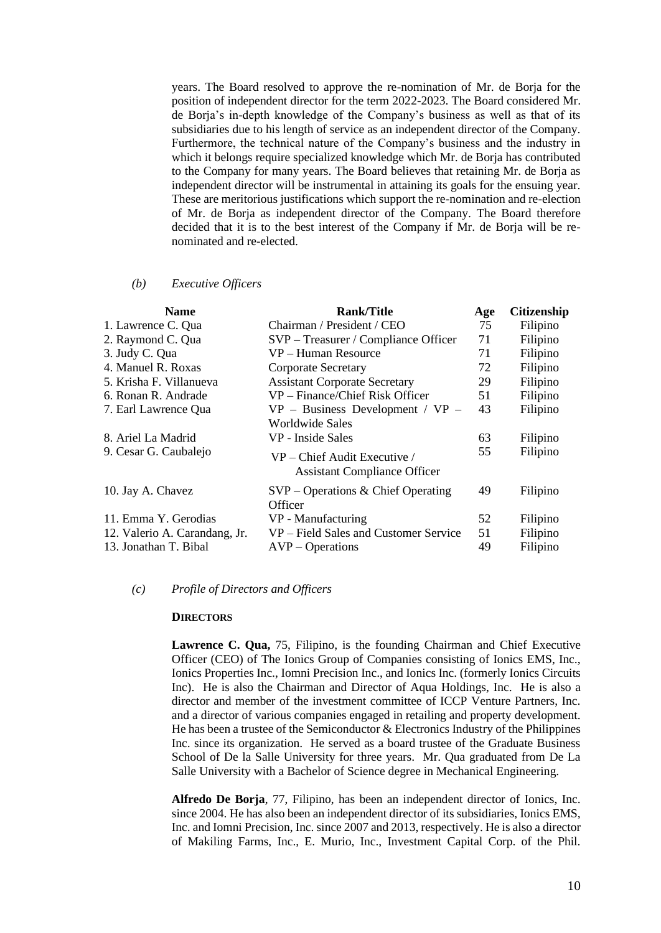years. The Board resolved to approve the re-nomination of Mr. de Borja for the position of independent director for the term 2022-2023. The Board considered Mr. de Borja's in-depth knowledge of the Company's business as well as that of its subsidiaries due to his length of service as an independent director of the Company. Furthermore, the technical nature of the Company's business and the industry in which it belongs require specialized knowledge which Mr. de Borja has contributed to the Company for many years. The Board believes that retaining Mr. de Borja as independent director will be instrumental in attaining its goals for the ensuing year. These are meritorious justifications which support the re-nomination and re-election of Mr. de Borja as independent director of the Company. The Board therefore decided that it is to the best interest of the Company if Mr. de Borja will be renominated and re-elected.

#### *(b) Executive Officers*

| <b>Name</b>                   | <b>Rank/Title</b>                                                     | Age | <b>Citizenship</b> |
|-------------------------------|-----------------------------------------------------------------------|-----|--------------------|
| 1. Lawrence C. Qua            | Chairman / President / CEO                                            | 75  | Filipino           |
| 2. Raymond C. Qua             | SVP - Treasurer / Compliance Officer                                  | 71  | Filipino           |
| 3. Judy C. Qua                | VP – Human Resource                                                   | 71  | Filipino           |
| 4. Manuel R. Roxas            | <b>Corporate Secretary</b>                                            | 72  | Filipino           |
| 5. Krisha F. Villanueva       | <b>Assistant Corporate Secretary</b>                                  | 29  | Filipino           |
| 6. Ronan R. Andrade           | VP – Finance/Chief Risk Officer                                       | 51  | Filipino           |
| 7. Earl Lawrence Qua          | $VP$ – Business Development / $VP$ –                                  | 43  | Filipino           |
|                               | Worldwide Sales                                                       |     |                    |
| 8. Ariel La Madrid            | VP - Inside Sales                                                     | 63  | Filipino           |
| 9. Cesar G. Caubalejo         | $VP$ – Chief Audit Executive /<br><b>Assistant Compliance Officer</b> | 55  | Filipino           |
| 10. Jay A. Chavez             | $SVP - Operations & Chief Operating$<br>Officer                       | 49  | Filipino           |
| 11. Emma Y. Gerodias          | VP - Manufacturing                                                    | 52  | Filipino           |
| 12. Valerio A. Carandang, Jr. | VP – Field Sales and Customer Service                                 | 51  | Filipino           |
| 13. Jonathan T. Bibal         | $AVP - Operations$                                                    | 49  | Filipino           |

# *(c) Profile of Directors and Officers*

#### **DIRECTORS**

**Lawrence C. Qua,** 75, Filipino, is the founding Chairman and Chief Executive Officer (CEO) of The Ionics Group of Companies consisting of Ionics EMS, Inc., Ionics Properties Inc., Iomni Precision Inc., and Ionics Inc. (formerly Ionics Circuits Inc). He is also the Chairman and Director of Aqua Holdings, Inc. He is also a director and member of the investment committee of ICCP Venture Partners, Inc. and a director of various companies engaged in retailing and property development. He has been a trustee of the Semiconductor  $&$  Electronics Industry of the Philippines Inc. since its organization. He served as a board trustee of the Graduate Business School of De la Salle University for three years. Mr. Qua graduated from De La Salle University with a Bachelor of Science degree in Mechanical Engineering.

**Alfredo De Borja**, 77, Filipino, has been an independent director of Ionics, Inc. since 2004. He has also been an independent director of its subsidiaries, Ionics EMS, Inc. and Iomni Precision, Inc. since 2007 and 2013, respectively. He is also a director of Makiling Farms, Inc., E. Murio, Inc., Investment Capital Corp. of the Phil.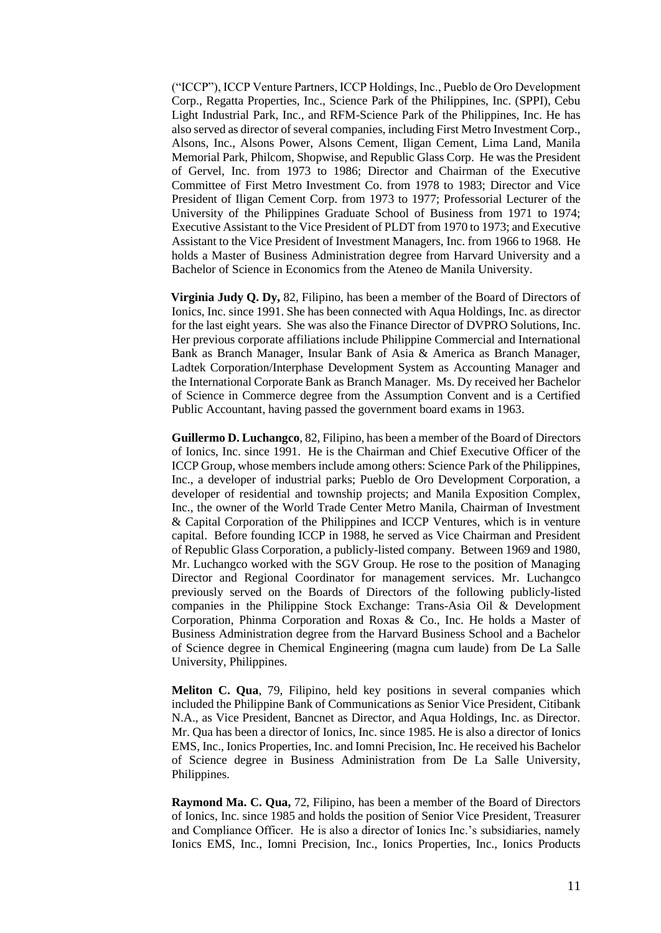("ICCP"), ICCP Venture Partners, ICCP Holdings, Inc., Pueblo de Oro Development Corp., Regatta Properties, Inc., Science Park of the Philippines, Inc. (SPPI), Cebu Light Industrial Park, Inc., and RFM-Science Park of the Philippines, Inc. He has also served as director of several companies, including First Metro Investment Corp., Alsons, Inc., Alsons Power, Alsons Cement, Iligan Cement, Lima Land, Manila Memorial Park, Philcom, Shopwise, and Republic Glass Corp. He was the President of Gervel, Inc. from 1973 to 1986; Director and Chairman of the Executive Committee of First Metro Investment Co. from 1978 to 1983; Director and Vice President of Iligan Cement Corp. from 1973 to 1977; Professorial Lecturer of the University of the Philippines Graduate School of Business from 1971 to 1974; Executive Assistant to the Vice President of PLDT from 1970 to 1973; and Executive Assistant to the Vice President of Investment Managers, Inc. from 1966 to 1968. He holds a Master of Business Administration degree from Harvard University and a Bachelor of Science in Economics from the Ateneo de Manila University.

**Virginia Judy Q. Dy,** 82, Filipino, has been a member of the Board of Directors of Ionics, Inc. since 1991. She has been connected with Aqua Holdings, Inc. as director for the last eight years. She was also the Finance Director of DVPRO Solutions, Inc. Her previous corporate affiliations include Philippine Commercial and International Bank as Branch Manager, Insular Bank of Asia & America as Branch Manager, Ladtek Corporation/Interphase Development System as Accounting Manager and the International Corporate Bank as Branch Manager. Ms. Dy received her Bachelor of Science in Commerce degree from the Assumption Convent and is a Certified Public Accountant, having passed the government board exams in 1963.

**Guillermo D. Luchangco**, 82, Filipino, has been a member of the Board of Directors of Ionics, Inc. since 1991. He is the Chairman and Chief Executive Officer of the ICCP Group, whose members include among others: Science Park of the Philippines, Inc., a developer of industrial parks; Pueblo de Oro Development Corporation, a developer of residential and township projects; and Manila Exposition Complex, Inc., the owner of the World Trade Center Metro Manila, Chairman of Investment & Capital Corporation of the Philippines and ICCP Ventures, which is in venture capital. Before founding ICCP in 1988, he served as Vice Chairman and President of Republic Glass Corporation, a publicly-listed company. Between 1969 and 1980, Mr. Luchangco worked with the SGV Group. He rose to the position of Managing Director and Regional Coordinator for management services. Mr. Luchangco previously served on the Boards of Directors of the following publicly-listed companies in the Philippine Stock Exchange: Trans-Asia Oil & Development Corporation, Phinma Corporation and Roxas & Co., Inc. He holds a Master of Business Administration degree from the Harvard Business School and a Bachelor of Science degree in Chemical Engineering (magna cum laude) from De La Salle University, Philippines.

**Meliton C. Qua**, 79, Filipino, held key positions in several companies which included the Philippine Bank of Communications as Senior Vice President, Citibank N.A., as Vice President, Bancnet as Director, and Aqua Holdings, Inc. as Director. Mr. Qua has been a director of Ionics, Inc. since 1985. He is also a director of Ionics EMS, Inc., Ionics Properties, Inc. and Iomni Precision, Inc. He received his Bachelor of Science degree in Business Administration from De La Salle University, Philippines.

**Raymond Ma. C. Qua,** 72, Filipino, has been a member of the Board of Directors of Ionics, Inc. since 1985 and holds the position of Senior Vice President, Treasurer and Compliance Officer. He is also a director of Ionics Inc.'s subsidiaries, namely Ionics EMS, Inc., Iomni Precision, Inc., Ionics Properties, Inc., Ionics Products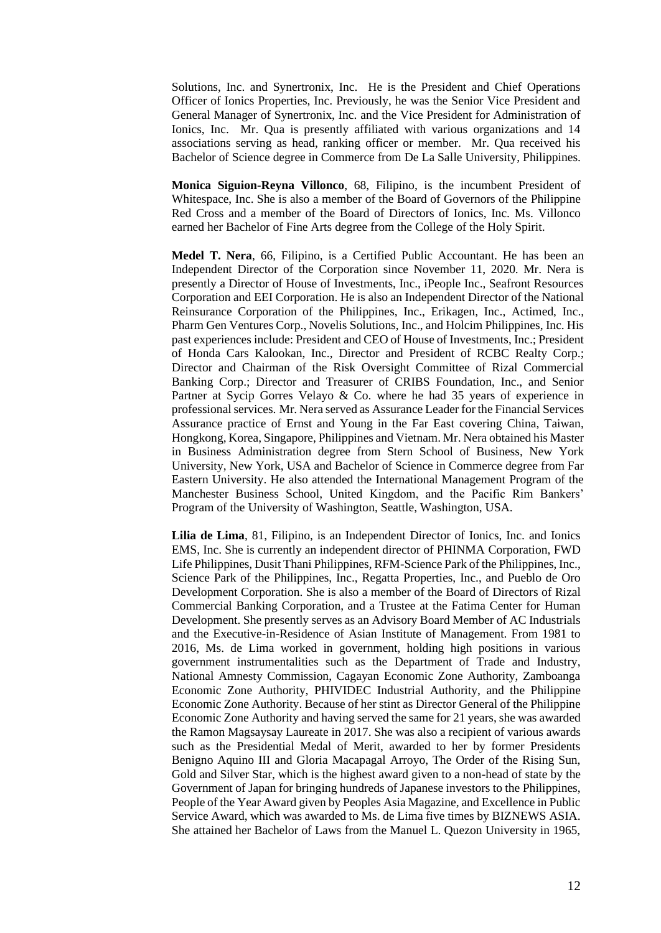Solutions, Inc. and Synertronix, Inc. He is the President and Chief Operations Officer of Ionics Properties, Inc. Previously, he was the Senior Vice President and General Manager of Synertronix, Inc. and the Vice President for Administration of Ionics, Inc. Mr. Qua is presently affiliated with various organizations and 14 associations serving as head, ranking officer or member. Mr. Qua received his Bachelor of Science degree in Commerce from De La Salle University, Philippines.

**Monica Siguion-Reyna Villonco**, 68, Filipino, is the incumbent President of Whitespace, Inc. She is also a member of the Board of Governors of the Philippine Red Cross and a member of the Board of Directors of Ionics, Inc. Ms. Villonco earned her Bachelor of Fine Arts degree from the College of the Holy Spirit.

**Medel T. Nera**, 66, Filipino, is a Certified Public Accountant. He has been an Independent Director of the Corporation since November 11, 2020. Mr. Nera is presently a Director of House of Investments, Inc., iPeople Inc., Seafront Resources Corporation and EEI Corporation. He is also an Independent Director of the National Reinsurance Corporation of the Philippines, Inc., Erikagen, Inc., Actimed, Inc., Pharm Gen Ventures Corp., Novelis Solutions, Inc., and Holcim Philippines, Inc. His past experiences include: President and CEO of House of Investments, Inc.; President of Honda Cars Kalookan, Inc., Director and President of RCBC Realty Corp.; Director and Chairman of the Risk Oversight Committee of Rizal Commercial Banking Corp.; Director and Treasurer of CRIBS Foundation, Inc., and Senior Partner at Sycip Gorres Velayo & Co. where he had 35 years of experience in professional services. Mr. Nera served as Assurance Leader for the Financial Services Assurance practice of Ernst and Young in the Far East covering China, Taiwan, Hongkong, Korea, Singapore, Philippines and Vietnam. Mr. Nera obtained his Master in Business Administration degree from Stern School of Business, New York University, New York, USA and Bachelor of Science in Commerce degree from Far Eastern University. He also attended the International Management Program of the Manchester Business School, United Kingdom, and the Pacific Rim Bankers' Program of the University of Washington, Seattle, Washington, USA.

**Lilia de Lima**, 81, Filipino, is an Independent Director of Ionics, Inc. and Ionics EMS, Inc. She is currently an independent director of PHINMA Corporation, FWD Life Philippines, Dusit Thani Philippines, RFM-Science Park of the Philippines, Inc., Science Park of the Philippines, Inc., Regatta Properties, Inc., and Pueblo de Oro Development Corporation. She is also a member of the Board of Directors of Rizal Commercial Banking Corporation, and a Trustee at the Fatima Center for Human Development. She presently serves as an Advisory Board Member of AC Industrials and the Executive-in-Residence of Asian Institute of Management. From 1981 to 2016, Ms. de Lima worked in government, holding high positions in various government instrumentalities such as the Department of Trade and Industry, National Amnesty Commission, Cagayan Economic Zone Authority, Zamboanga Economic Zone Authority, PHIVIDEC Industrial Authority, and the Philippine Economic Zone Authority. Because of her stint as Director General of the Philippine Economic Zone Authority and having served the same for 21 years, she was awarded the Ramon Magsaysay Laureate in 2017. She was also a recipient of various awards such as the Presidential Medal of Merit, awarded to her by former Presidents Benigno Aquino III and Gloria Macapagal Arroyo, The Order of the Rising Sun, Gold and Silver Star, which is the highest award given to a non-head of state by the Government of Japan for bringing hundreds of Japanese investors to the Philippines, People of the Year Award given by Peoples Asia Magazine, and Excellence in Public Service Award, which was awarded to Ms. de Lima five times by BIZNEWS ASIA. She attained her Bachelor of Laws from the Manuel L. Quezon University in 1965,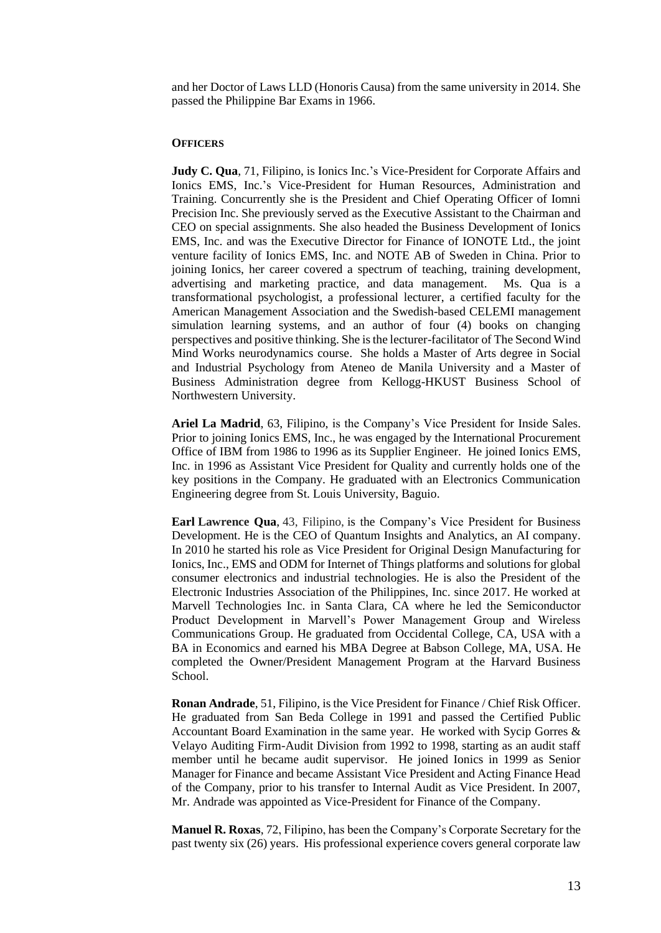and her Doctor of Laws LLD (Honoris Causa) from the same university in 2014. She passed the Philippine Bar Exams in 1966.

#### **OFFICERS**

**Judy C. Qua**, 71, Filipino, is Ionics Inc.'s Vice-President for Corporate Affairs and Ionics EMS, Inc.'s Vice-President for Human Resources, Administration and Training. Concurrently she is the President and Chief Operating Officer of Iomni Precision Inc. She previously served as the Executive Assistant to the Chairman and CEO on special assignments. She also headed the Business Development of Ionics EMS, Inc. and was the Executive Director for Finance of IONOTE Ltd., the joint venture facility of Ionics EMS, Inc. and NOTE AB of Sweden in China. Prior to joining Ionics, her career covered a spectrum of teaching, training development, advertising and marketing practice, and data management. Ms. Qua is a transformational psychologist, a professional lecturer, a certified faculty for the American Management Association and the Swedish-based CELEMI management simulation learning systems, and an author of four (4) books on changing perspectives and positive thinking. She is the lecturer-facilitator of The Second Wind Mind Works neurodynamics course. She holds a Master of Arts degree in Social and Industrial Psychology from Ateneo de Manila University and a Master of Business Administration degree from Kellogg-HKUST Business School of Northwestern University.

**Ariel La Madrid**, 63, Filipino, is the Company's Vice President for Inside Sales. Prior to joining Ionics EMS, Inc., he was engaged by the International Procurement Office of IBM from 1986 to 1996 as its Supplier Engineer. He joined Ionics EMS, Inc. in 1996 as Assistant Vice President for Quality and currently holds one of the key positions in the Company. He graduated with an Electronics Communication Engineering degree from St. Louis University, Baguio.

**Earl Lawrence Qua**, 43, Filipino, is the Company's Vice President for Business Development. He is the CEO of Quantum Insights and Analytics, an AI company. In 2010 he started his role as Vice President for Original Design Manufacturing for Ionics, Inc., EMS and ODM for Internet of Things platforms and solutions for global consumer electronics and industrial technologies. He is also the President of the Electronic Industries Association of the Philippines, Inc. since 2017. He worked at Marvell Technologies Inc. in Santa Clara, CA where he led the Semiconductor Product Development in Marvell's Power Management Group and Wireless Communications Group. He graduated from Occidental College, CA, USA with a BA in Economics and earned his MBA Degree at Babson College, MA, USA. He completed the Owner/President Management Program at the Harvard Business School.

**Ronan Andrade**, 51, Filipino, is the Vice President for Finance / Chief Risk Officer. He graduated from San Beda College in 1991 and passed the Certified Public Accountant Board Examination in the same year. He worked with Sycip Gorres & Velayo Auditing Firm-Audit Division from 1992 to 1998, starting as an audit staff member until he became audit supervisor. He joined Ionics in 1999 as Senior Manager for Finance and became Assistant Vice President and Acting Finance Head of the Company, prior to his transfer to Internal Audit as Vice President. In 2007, Mr. Andrade was appointed as Vice-President for Finance of the Company.

**Manuel R. Roxas**, 72, Filipino, has been the Company's Corporate Secretary for the past twenty six (26) years. His professional experience covers general corporate law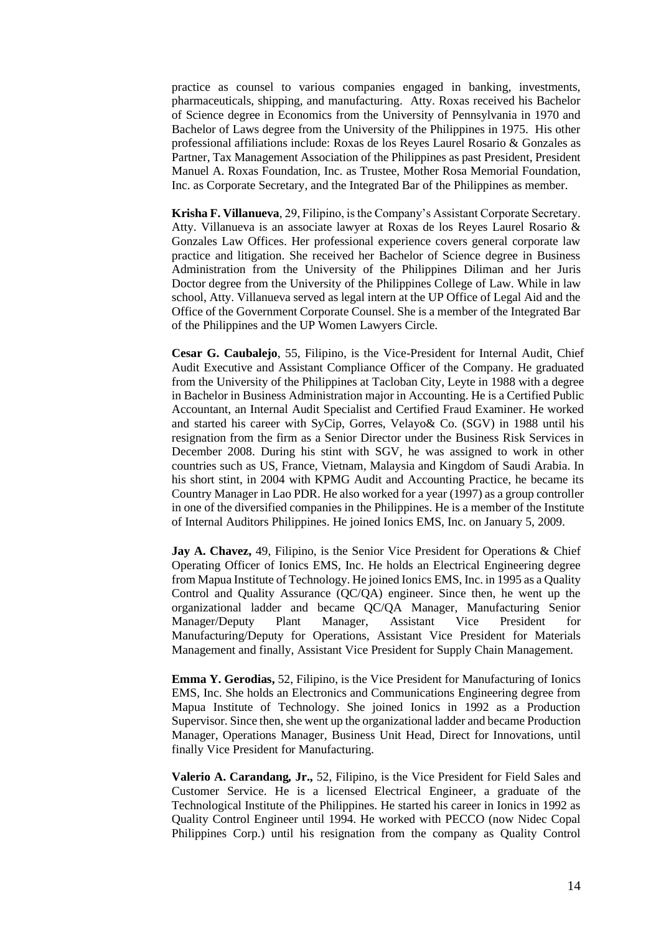practice as counsel to various companies engaged in banking, investments, pharmaceuticals, shipping, and manufacturing. Atty. Roxas received his Bachelor of Science degree in Economics from the University of Pennsylvania in 1970 and Bachelor of Laws degree from the University of the Philippines in 1975. His other professional affiliations include: Roxas de los Reyes Laurel Rosario & Gonzales as Partner, Tax Management Association of the Philippines as past President, President Manuel A. Roxas Foundation, Inc. as Trustee, Mother Rosa Memorial Foundation, Inc. as Corporate Secretary, and the Integrated Bar of the Philippines as member.

**Krisha F. Villanueva**, 29, Filipino, is the Company's Assistant Corporate Secretary. Atty. Villanueva is an associate lawyer at Roxas de los Reyes Laurel Rosario & Gonzales Law Offices. Her professional experience covers general corporate law practice and litigation. She received her Bachelor of Science degree in Business Administration from the University of the Philippines Diliman and her Juris Doctor degree from the University of the Philippines College of Law. While in law school, Atty. Villanueva served as legal intern at the UP Office of Legal Aid and the Office of the Government Corporate Counsel. She is a member of the Integrated Bar of the Philippines and the UP Women Lawyers Circle.

**Cesar G. Caubalejo**, 55, Filipino, is the Vice-President for Internal Audit, Chief Audit Executive and Assistant Compliance Officer of the Company. He graduated from the University of the Philippines at Tacloban City, Leyte in 1988 with a degree in Bachelor in Business Administration major in Accounting. He is a Certified Public Accountant, an Internal Audit Specialist and Certified Fraud Examiner. He worked and started his career with SyCip, Gorres, Velayo& Co. (SGV) in 1988 until his resignation from the firm as a Senior Director under the Business Risk Services in December 2008. During his stint with SGV, he was assigned to work in other countries such as US, France, Vietnam, Malaysia and Kingdom of Saudi Arabia. In his short stint, in 2004 with KPMG Audit and Accounting Practice, he became its Country Manager in Lao PDR. He also worked for a year (1997) as a group controller in one of the diversified companies in the Philippines. He is a member of the Institute of Internal Auditors Philippines. He joined Ionics EMS, Inc. on January 5, 2009.

**Jay A. Chavez,** 49, Filipino, is the Senior Vice President for Operations & Chief Operating Officer of Ionics EMS, Inc. He holds an Electrical Engineering degree from Mapua Institute of Technology. He joined Ionics EMS, Inc. in 1995 as a Quality Control and Quality Assurance (QC/QA) engineer. Since then, he went up the organizational ladder and became QC/QA Manager, Manufacturing Senior Manager/Deputy Plant Manager, Assistant Vice President for Manufacturing/Deputy for Operations, Assistant Vice President for Materials Management and finally, Assistant Vice President for Supply Chain Management.

**Emma Y. Gerodias,** 52, Filipino, is the Vice President for Manufacturing of Ionics EMS, Inc. She holds an Electronics and Communications Engineering degree from Mapua Institute of Technology. She joined Ionics in 1992 as a Production Supervisor. Since then, she went up the organizational ladder and became Production Manager, Operations Manager, Business Unit Head, Direct for Innovations, until finally Vice President for Manufacturing.

**Valerio A. Carandang***,* **Jr.,** 52, Filipino, is the Vice President for Field Sales and Customer Service. He is a licensed Electrical Engineer, a graduate of the Technological Institute of the Philippines. He started his career in Ionics in 1992 as Quality Control Engineer until 1994. He worked with PECCO (now Nidec Copal Philippines Corp.) until his resignation from the company as Quality Control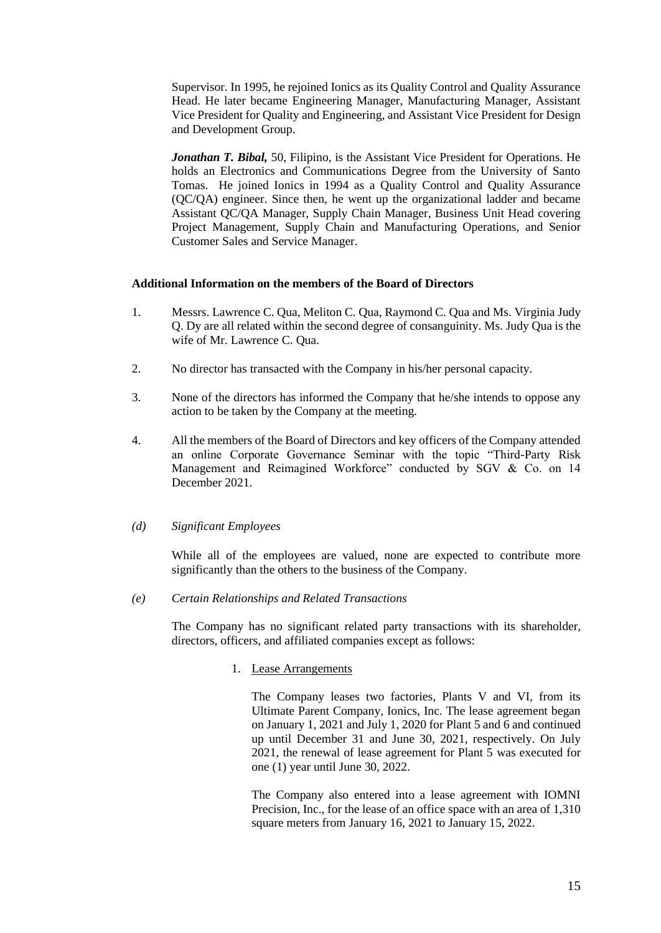Supervisor. In 1995, he rejoined Ionics as its Quality Control and Quality Assurance Head. He later became Engineering Manager, Manufacturing Manager, Assistant Vice President for Quality and Engineering, and Assistant Vice President for Design and Development Group.

*Jonathan T. Bibal,* 50, Filipino, is the Assistant Vice President for Operations. He holds an Electronics and Communications Degree from the University of Santo Tomas. He joined Ionics in 1994 as a Quality Control and Quality Assurance (QC/QA) engineer. Since then, he went up the organizational ladder and became Assistant QC/QA Manager, Supply Chain Manager, Business Unit Head covering Project Management, Supply Chain and Manufacturing Operations, and Senior Customer Sales and Service Manager.

# **Additional Information on the members of the Board of Directors**

- 1. Messrs. Lawrence C. Qua, Meliton C. Qua, Raymond C. Qua and Ms. Virginia Judy Q. Dy are all related within the second degree of consanguinity. Ms. Judy Qua is the wife of Mr. Lawrence C. Qua.
- 2. No director has transacted with the Company in his/her personal capacity.
- 3. None of the directors has informed the Company that he/she intends to oppose any action to be taken by the Company at the meeting.
- 4. All the members of the Board of Directors and key officers of the Company attended an online Corporate Governance Seminar with the topic "Third-Party Risk Management and Reimagined Workforce" conducted by SGV & Co. on 14 December 2021.

# *(d) Significant Employees*

While all of the employees are valued, none are expected to contribute more significantly than the others to the business of the Company.

*(e) Certain Relationships and Related Transactions* 

The Company has no significant related party transactions with its shareholder, directors, officers, and affiliated companies except as follows:

# 1. Lease Arrangements

The Company leases two factories, Plants V and VI, from its Ultimate Parent Company, Ionics, Inc. The lease agreement began on January 1, 2021 and July 1, 2020 for Plant 5 and 6 and continued up until December 31 and June 30, 2021, respectively. On July 2021, the renewal of lease agreement for Plant 5 was executed for one (1) year until June 30, 2022.

The Company also entered into a lease agreement with IOMNI Precision, Inc., for the lease of an office space with an area of 1,310 square meters from January 16, 2021 to January 15, 2022.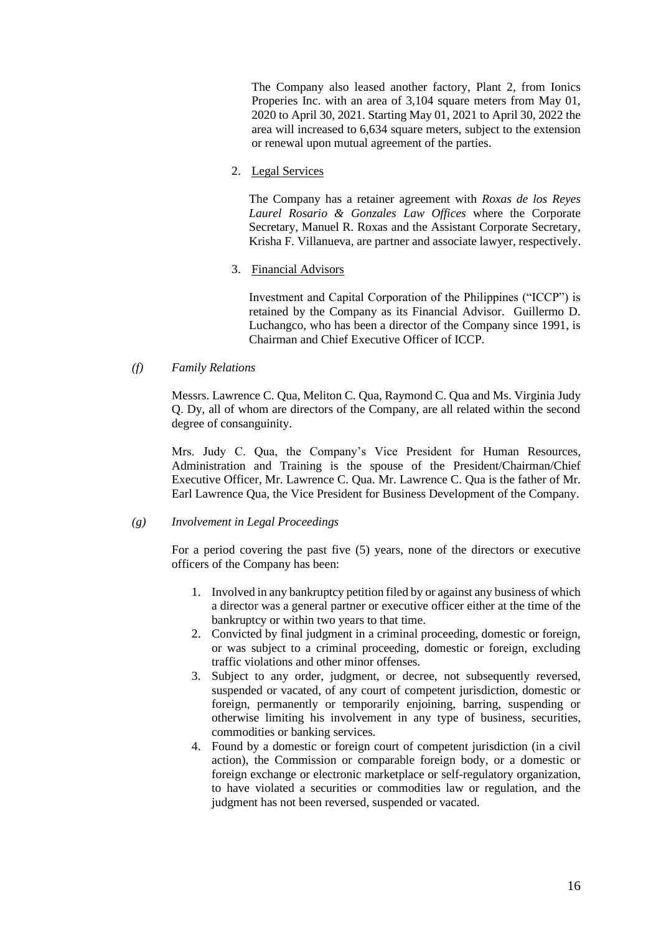The Company also leased another factory, Plant 2, from Ionics Properies Inc. with an area of 3,104 square meters from May 01, 2020 to April 30, 2021. Starting May 01, 2021 to April 30, 2022 the area will increased to 6,634 square meters, subject to the extension or renewal upon mutual agreement of the parties.

2. Legal Services

The Company has a retainer agreement with *Roxas de los Reyes Laurel Rosario & Gonzales Law Offices* where the Corporate Secretary, Manuel R. Roxas and the Assistant Corporate Secretary, Krisha F. Villanueva, are partner and associate lawyer, respectively.

3. Financial Advisors

Investment and Capital Corporation of the Philippines ("ICCP") is retained by the Company as its Financial Advisor. Guillermo D. Luchangco, who has been a director of the Company since 1991, is Chairman and Chief Executive Officer of ICCP.

*(f) Family Relations*

Messrs. Lawrence C. Qua, Meliton C. Qua, Raymond C. Qua and Ms. Virginia Judy Q. Dy, all of whom are directors of the Company, are all related within the second degree of consanguinity.

Mrs. Judy C. Qua, the Company's Vice President for Human Resources, Administration and Training is the spouse of the President/Chairman/Chief Executive Officer, Mr. Lawrence C. Qua. Mr. Lawrence C. Qua is the father of Mr. Earl Lawrence Qua, the Vice President for Business Development of the Company.

# *(g) Involvement in Legal Proceedings*

For a period covering the past five (5) years, none of the directors or executive officers of the Company has been:

- 1. Involved in any bankruptcy petition filed by or against any business of which a director was a general partner or executive officer either at the time of the bankruptcy or within two years to that time.
- 2. Convicted by final judgment in a criminal proceeding, domestic or foreign, or was subject to a criminal proceeding, domestic or foreign, excluding traffic violations and other minor offenses.
- 3. Subject to any order, judgment, or decree, not subsequently reversed, suspended or vacated, of any court of competent jurisdiction, domestic or foreign, permanently or temporarily enjoining, barring, suspending or otherwise limiting his involvement in any type of business, securities, commodities or banking services.
- 4. Found by a domestic or foreign court of competent jurisdiction (in a civil action), the Commission or comparable foreign body, or a domestic or foreign exchange or electronic marketplace or self-regulatory organization, to have violated a securities or commodities law or regulation, and the judgment has not been reversed, suspended or vacated.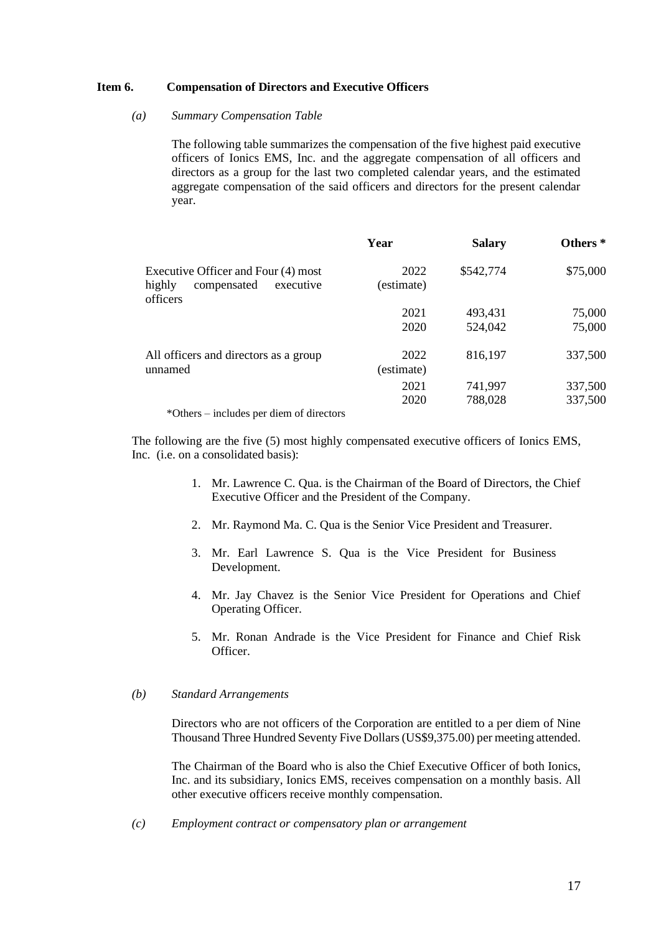### **Item 6. Compensation of Directors and Executive Officers**

# *(a) Summary Compensation Table*

The following table summarizes the compensation of the five highest paid executive officers of Ionics EMS, Inc. and the aggregate compensation of all officers and directors as a group for the last two completed calendar years, and the estimated aggregate compensation of the said officers and directors for the present calendar year.

|                                                                                       | Year               | <b>Salary</b> | Others <sup>*</sup> |
|---------------------------------------------------------------------------------------|--------------------|---------------|---------------------|
| Executive Officer and Four (4) most<br>highly<br>compensated<br>executive<br>officers | 2022<br>(estimate) | \$542,774     | \$75,000            |
|                                                                                       | 2021               | 493,431       | 75,000              |
|                                                                                       | 2020               | 524,042       | 75,000              |
| All officers and directors as a group<br>unnamed                                      | 2022<br>(estimate) | 816,197       | 337,500             |
|                                                                                       | 2021               | 741,997       | 337,500             |
|                                                                                       | 2020               | 788,028       | 337,500             |
| *Others – includes per diem of directors                                              |                    |               |                     |

The following are the five (5) most highly compensated executive officers of Ionics EMS, Inc. (i.e. on a consolidated basis):

- 1. Mr. Lawrence C. Qua. is the Chairman of the Board of Directors, the Chief Executive Officer and the President of the Company.
- 2. Mr. Raymond Ma. C. Qua is the Senior Vice President and Treasurer.
- 3. Mr. Earl Lawrence S. Qua is the Vice President for Business Development.
- 4. Mr. Jay Chavez is the Senior Vice President for Operations and Chief Operating Officer.
- 5. Mr. Ronan Andrade is the Vice President for Finance and Chief Risk **Officer**

# *(b) Standard Arrangements*

Directors who are not officers of the Corporation are entitled to a per diem of Nine Thousand Three Hundred Seventy Five Dollars (US\$9,375.00) per meeting attended.

The Chairman of the Board who is also the Chief Executive Officer of both Ionics, Inc. and its subsidiary, Ionics EMS, receives compensation on a monthly basis. All other executive officers receive monthly compensation.

*(c) Employment contract or compensatory plan or arrangement*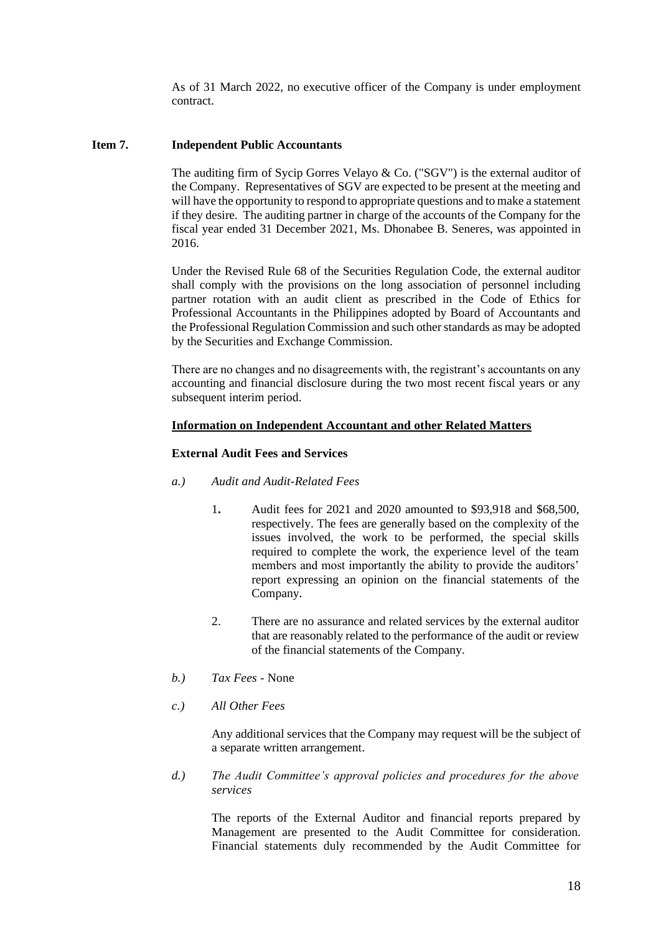As of 31 March 2022, no executive officer of the Company is under employment contract.

# **Item 7. Independent Public Accountants**

The auditing firm of Sycip Gorres Velayo  $\&$  Co. ("SGV") is the external auditor of the Company. Representatives of SGV are expected to be present at the meeting and will have the opportunity to respond to appropriate questions and to make a statement if they desire. The auditing partner in charge of the accounts of the Company for the fiscal year ended 31 December 2021, Ms. Dhonabee B. Seneres, was appointed in 2016.

Under the Revised Rule 68 of the Securities Regulation Code, the external auditor shall comply with the provisions on the long association of personnel including partner rotation with an audit client as prescribed in the Code of Ethics for Professional Accountants in the Philippines adopted by Board of Accountants and the Professional Regulation Commission and such other standards as may be adopted by the Securities and Exchange Commission.

There are no changes and no disagreements with, the registrant's accountants on any accounting and financial disclosure during the two most recent fiscal years or any subsequent interim period.

# **Information on Independent Accountant and other Related Matters**

# **External Audit Fees and Services**

- *a.) Audit and Audit-Related Fees*
	- 1**.** Audit fees for 2021 and 2020 amounted to \$93,918 and \$68,500, respectively. The fees are generally based on the complexity of the issues involved, the work to be performed, the special skills required to complete the work, the experience level of the team members and most importantly the ability to provide the auditors' report expressing an opinion on the financial statements of the Company.
	- 2. There are no assurance and related services by the external auditor that are reasonably related to the performance of the audit or review of the financial statements of the Company.
- *b.) Tax Fees* None
- *c.) All Other Fees*

Any additional services that the Company may request will be the subject of a separate written arrangement.

*d.) The Audit Committee's approval policies and procedures for the above services*

The reports of the External Auditor and financial reports prepared by Management are presented to the Audit Committee for consideration. Financial statements duly recommended by the Audit Committee for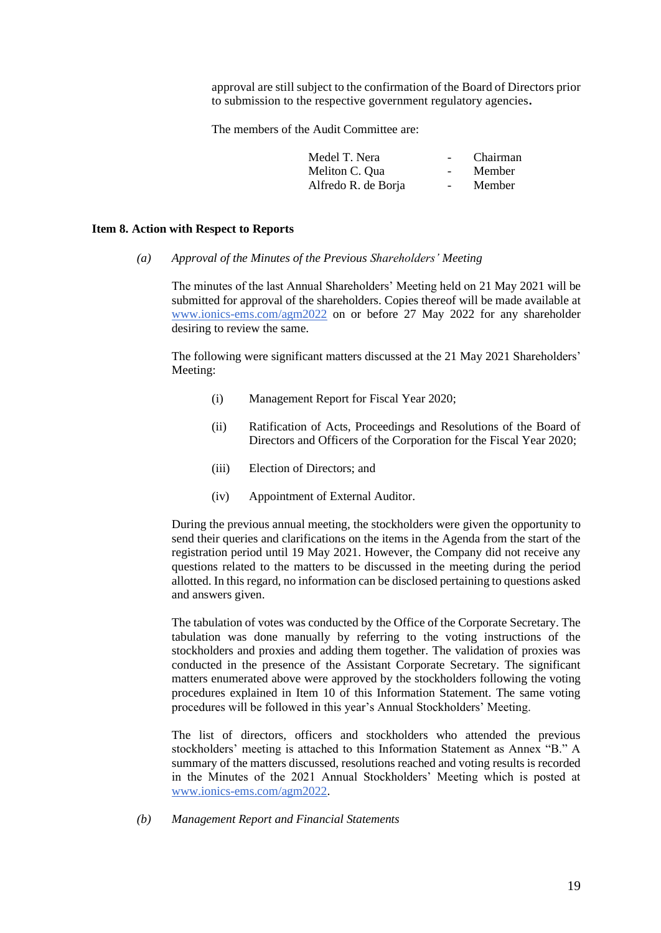approval are still subject to the confirmation of the Board of Directors prior to submission to the respective government regulatory agencies**.**

The members of the Audit Committee are:

| Medel T. Nera       | $\sim$                   | Chairman |
|---------------------|--------------------------|----------|
| Meliton C. Qua      | $\overline{\phantom{0}}$ | Member   |
| Alfredo R. de Borja |                          | Member   |

#### **Item 8. Action with Respect to Reports**

*(a) Approval of the Minutes of the Previous Shareholders' Meeting*

The minutes of the last Annual Shareholders' Meeting held on 21 May 2021 will be submitted for approval of the shareholders. Copies thereof will be made available at [www.ionics-ems.com/agm2022](http://www.ionics-ems.com/agm2022) on or before 27 May 2022 for any shareholder desiring to review the same.

The following were significant matters discussed at the 21 May 2021 Shareholders' Meeting:

- (i) Management Report for Fiscal Year 2020;
- (ii) Ratification of Acts, Proceedings and Resolutions of the Board of Directors and Officers of the Corporation for the Fiscal Year 2020;
- (iii) Election of Directors; and
- (iv) Appointment of External Auditor.

During the previous annual meeting, the stockholders were given the opportunity to send their queries and clarifications on the items in the Agenda from the start of the registration period until 19 May 2021. However, the Company did not receive any questions related to the matters to be discussed in the meeting during the period allotted. In this regard, no information can be disclosed pertaining to questions asked and answers given.

The tabulation of votes was conducted by the Office of the Corporate Secretary. The tabulation was done manually by referring to the voting instructions of the stockholders and proxies and adding them together. The validation of proxies was conducted in the presence of the Assistant Corporate Secretary. The significant matters enumerated above were approved by the stockholders following the voting procedures explained in Item 10 of this Information Statement. The same voting procedures will be followed in this year's Annual Stockholders' Meeting.

The list of directors, officers and stockholders who attended the previous stockholders' meeting is attached to this Information Statement as Annex "B." A summary of the matters discussed, resolutions reached and voting results is recorded in the Minutes of the 2021 Annual Stockholders' Meeting which is posted at [www.ionics-ems.com/agm2022.](http://www.ionics-ems.com/agm2022)

*(b) Management Report and Financial Statements*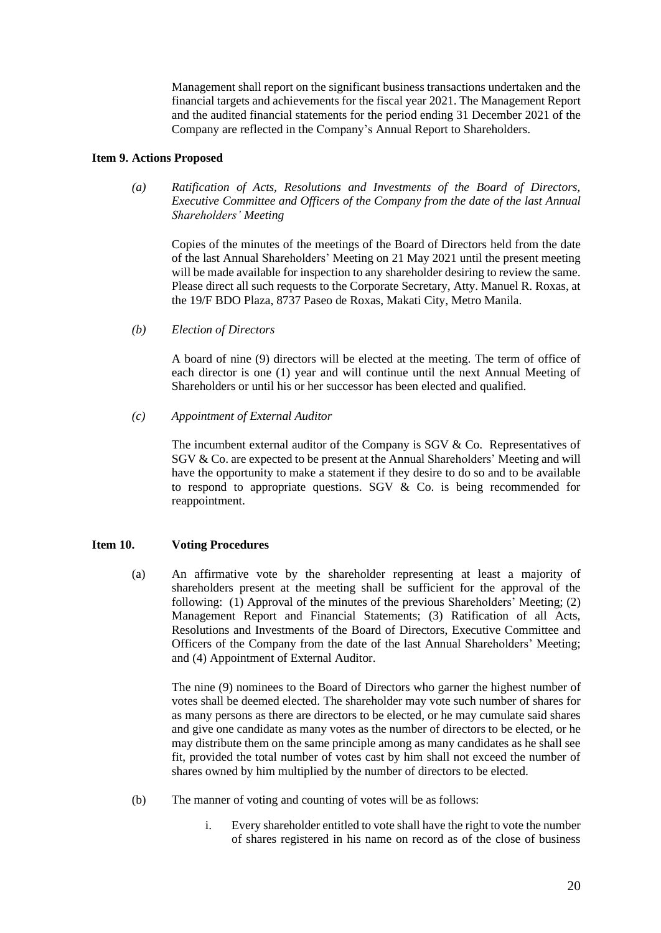Management shall report on the significant business transactions undertaken and the financial targets and achievements for the fiscal year 2021. The Management Report and the audited financial statements for the period ending 31 December 2021 of the Company are reflected in the Company's Annual Report to Shareholders.

# **Item 9. Actions Proposed**

*(a) Ratification of Acts, Resolutions and Investments of the Board of Directors, Executive Committee and Officers of the Company from the date of the last Annual Shareholders' Meeting*

Copies of the minutes of the meetings of the Board of Directors held from the date of the last Annual Shareholders' Meeting on 21 May 2021 until the present meeting will be made available for inspection to any shareholder desiring to review the same. Please direct all such requests to the Corporate Secretary, Atty. Manuel R. Roxas, at the 19/F BDO Plaza, 8737 Paseo de Roxas, Makati City, Metro Manila.

*(b) Election of Directors*

A board of nine (9) directors will be elected at the meeting. The term of office of each director is one (1) year and will continue until the next Annual Meeting of Shareholders or until his or her successor has been elected and qualified.

*(c) Appointment of External Auditor*

The incumbent external auditor of the Company is SGV & Co. Representatives of SGV & Co. are expected to be present at the Annual Shareholders' Meeting and will have the opportunity to make a statement if they desire to do so and to be available to respond to appropriate questions. SGV  $&$  Co. is being recommended for reappointment.

# **Item 10. Voting Procedures**

(a) An affirmative vote by the shareholder representing at least a majority of shareholders present at the meeting shall be sufficient for the approval of the following: (1) Approval of the minutes of the previous Shareholders' Meeting; (2) Management Report and Financial Statements; (3) Ratification of all Acts, Resolutions and Investments of the Board of Directors, Executive Committee and Officers of the Company from the date of the last Annual Shareholders' Meeting; and (4) Appointment of External Auditor.

The nine (9) nominees to the Board of Directors who garner the highest number of votes shall be deemed elected. The shareholder may vote such number of shares for as many persons as there are directors to be elected, or he may cumulate said shares and give one candidate as many votes as the number of directors to be elected, or he may distribute them on the same principle among as many candidates as he shall see fit, provided the total number of votes cast by him shall not exceed the number of shares owned by him multiplied by the number of directors to be elected.

- (b) The manner of voting and counting of votes will be as follows:
	- i. Every shareholder entitled to vote shall have the right to vote the number of shares registered in his name on record as of the close of business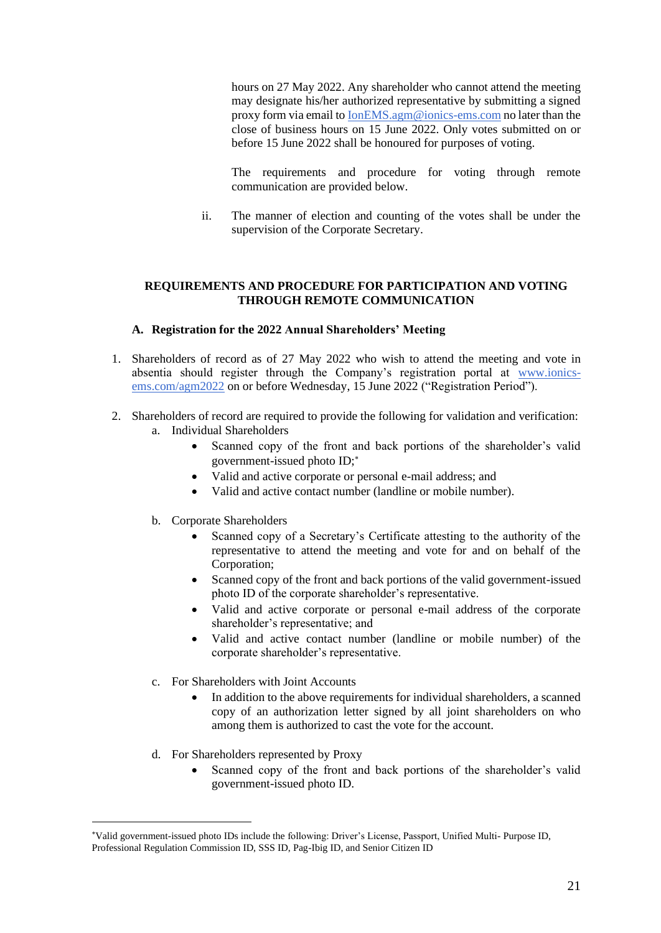hours on 27 May 2022. Any shareholder who cannot attend the meeting may designate his/her authorized representative by submitting a signed proxy form via email to [IonEMS.agm@ionics-ems.com](mailto:IonEMS.agm@ionics-ems.com) no later than the close of business hours on 15 June 2022. Only votes submitted on or before 15 June 2022 shall be honoured for purposes of voting.

The requirements and procedure for voting through remote communication are provided below.

ii. The manner of election and counting of the votes shall be under the supervision of the Corporate Secretary.

# **REQUIREMENTS AND PROCEDURE FOR PARTICIPATION AND VOTING THROUGH REMOTE COMMUNICATION**

- **A. Registration for the 2022 Annual Shareholders' Meeting**
- 1. Shareholders of record as of 27 May 2022 who wish to attend the meeting and vote in absentia should register through the Company's registration portal at [www.ionics](http://www.ionics-ems.com/agm2022)[ems.com/agm2022](http://www.ionics-ems.com/agm2022) on or before Wednesday, 15 June 2022 ("Registration Period").
- 2. Shareholders of record are required to provide the following for validation and verification: a. Individual Shareholders
	- Scanned copy of the front and back portions of the shareholder's valid government-issued photo ID;
	- Valid and active corporate or personal e-mail address; and
	- Valid and active contact number (landline or mobile number).
	- b. Corporate Shareholders
		- Scanned copy of a Secretary's Certificate attesting to the authority of the representative to attend the meeting and vote for and on behalf of the Corporation;
		- Scanned copy of the front and back portions of the valid government-issued photo ID of the corporate shareholder's representative.
		- Valid and active corporate or personal e-mail address of the corporate shareholder's representative; and
		- Valid and active contact number (landline or mobile number) of the corporate shareholder's representative.
	- c. For Shareholders with Joint Accounts
		- In addition to the above requirements for individual shareholders, a scanned copy of an authorization letter signed by all joint shareholders on who among them is authorized to cast the vote for the account.
	- d. For Shareholders represented by Proxy
		- Scanned copy of the front and back portions of the shareholder's valid government-issued photo ID.

Valid government-issued photo IDs include the following: Driver's License, Passport, Unified Multi- Purpose ID, Professional Regulation Commission ID, SSS ID, Pag-Ibig ID, and Senior Citizen ID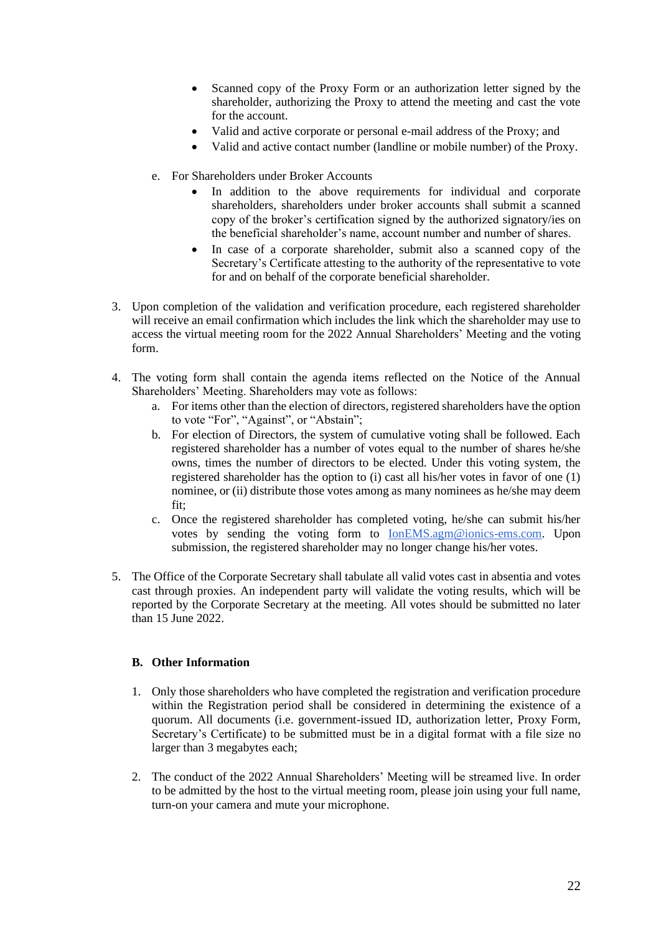- Scanned copy of the Proxy Form or an authorization letter signed by the shareholder, authorizing the Proxy to attend the meeting and cast the vote for the account.
- Valid and active corporate or personal e-mail address of the Proxy; and
- Valid and active contact number (landline or mobile number) of the Proxy.
- e. For Shareholders under Broker Accounts
	- In addition to the above requirements for individual and corporate shareholders, shareholders under broker accounts shall submit a scanned copy of the broker's certification signed by the authorized signatory/ies on the beneficial shareholder's name, account number and number of shares.
	- In case of a corporate shareholder, submit also a scanned copy of the Secretary's Certificate attesting to the authority of the representative to vote for and on behalf of the corporate beneficial shareholder.
- 3. Upon completion of the validation and verification procedure, each registered shareholder will receive an email confirmation which includes the link which the shareholder may use to access the virtual meeting room for the 2022 Annual Shareholders' Meeting and the voting form.
- 4. The voting form shall contain the agenda items reflected on the Notice of the Annual Shareholders' Meeting. Shareholders may vote as follows:
	- a. For items other than the election of directors, registered shareholders have the option to vote "For", "Against", or "Abstain";
	- b. For election of Directors, the system of cumulative voting shall be followed. Each registered shareholder has a number of votes equal to the number of shares he/she owns, times the number of directors to be elected. Under this voting system, the registered shareholder has the option to (i) cast all his/her votes in favor of one (1) nominee, or (ii) distribute those votes among as many nominees as he/she may deem fit;
	- c. Once the registered shareholder has completed voting, he/she can submit his/her votes by sending the voting form to [IonEMS.agm@ionics-ems.com.](mailto:IonEMS.agm@ionics-ems.com) Upon submission, the registered shareholder may no longer change his/her votes.
- 5. The Office of the Corporate Secretary shall tabulate all valid votes cast in absentia and votes cast through proxies. An independent party will validate the voting results, which will be reported by the Corporate Secretary at the meeting. All votes should be submitted no later than 15 June 2022.

# **B. Other Information**

- 1. Only those shareholders who have completed the registration and verification procedure within the Registration period shall be considered in determining the existence of a quorum. All documents (i.e. government-issued ID, authorization letter, Proxy Form, Secretary's Certificate) to be submitted must be in a digital format with a file size no larger than 3 megabytes each;
- 2. The conduct of the 2022 Annual Shareholders' Meeting will be streamed live. In order to be admitted by the host to the virtual meeting room, please join using your full name, turn-on your camera and mute your microphone.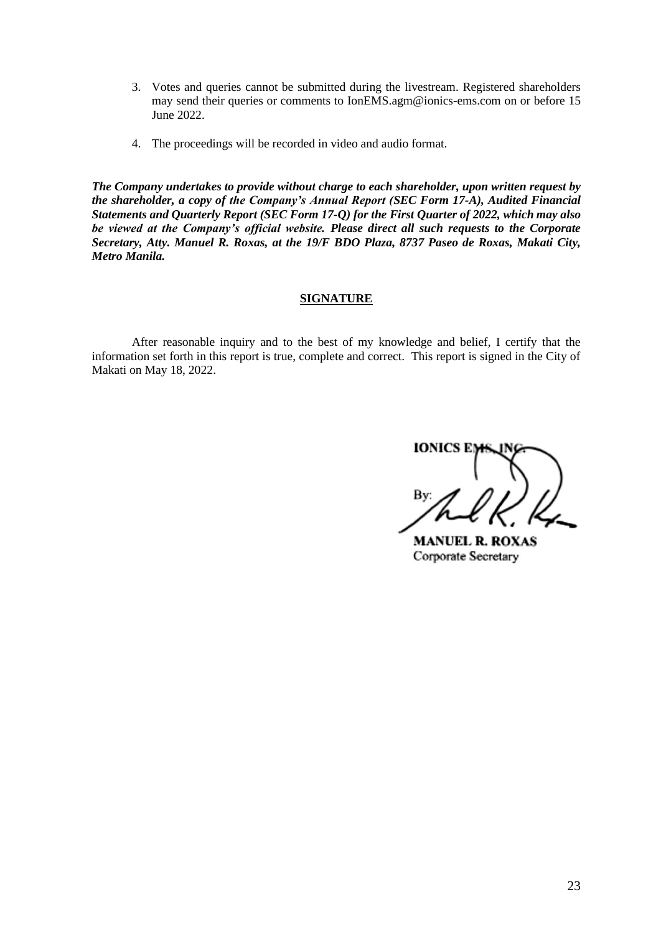- 3. Votes and queries cannot be submitted during the livestream. Registered shareholders may send their queries or comments to [IonEMS.agm@ionics-ems.com](mailto:agm2020@ionics-ems.com) on or before 15 June 2022.
- 4. The proceedings will be recorded in video and audio format.

*The Company undertakes to provide without charge to each shareholder, upon written request by the shareholder, a copy of the Company's Annual Report (SEC Form 17-A), Audited Financial Statements and Quarterly Report (SEC Form 17-Q) for the First Quarter of 2022, which may also be viewed at the Company's official website. Please direct all such requests to the Corporate Secretary, Atty. Manuel R. Roxas, at the 19/F BDO Plaza, 8737 Paseo de Roxas, Makati City, Metro Manila.*

# **SIGNATURE**

After reasonable inquiry and to the best of my knowledge and belief, I certify that the information set forth in this report is true, complete and correct. This report is signed in the City of Makati on May 18, 2022.

IONIC

**MANUEL R. ROXAS** Corporate Secretary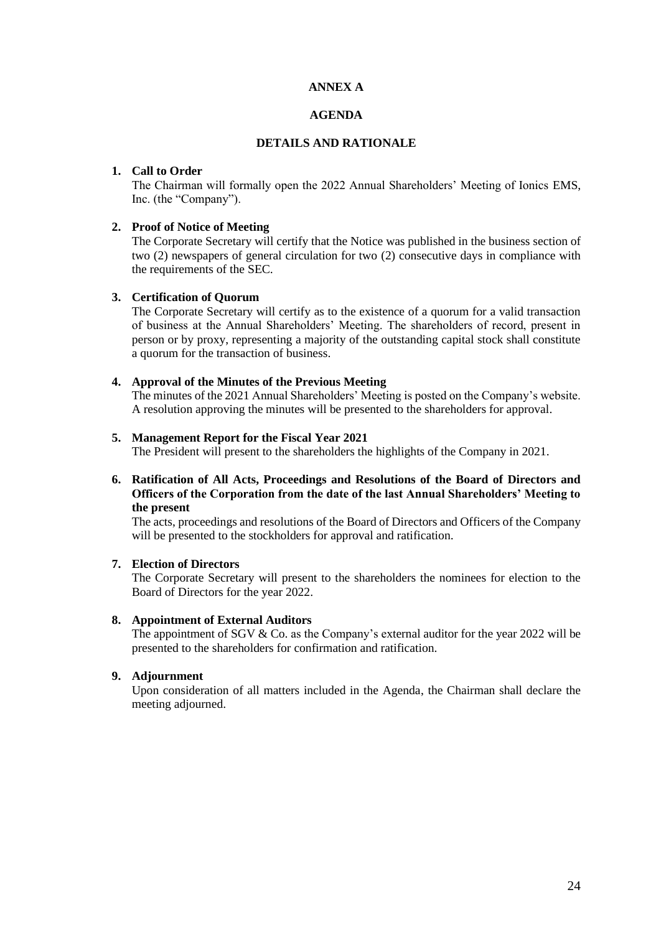# **ANNEX A**

# **AGENDA**

# **DETAILS AND RATIONALE**

#### **1. Call to Order**

The Chairman will formally open the 2022 Annual Shareholders' Meeting of Ionics EMS, Inc. (the "Company").

# **2. Proof of Notice of Meeting**

The Corporate Secretary will certify that the Notice was published in the business section of two (2) newspapers of general circulation for two (2) consecutive days in compliance with the requirements of the SEC.

### **3. Certification of Quorum**

The Corporate Secretary will certify as to the existence of a quorum for a valid transaction of business at the Annual Shareholders' Meeting. The shareholders of record, present in person or by proxy, representing a majority of the outstanding capital stock shall constitute a quorum for the transaction of business.

### **4. Approval of the Minutes of the Previous Meeting**

The minutes of the 2021 Annual Shareholders' Meeting is posted on the Company's website. A resolution approving the minutes will be presented to the shareholders for approval.

#### **5. Management Report for the Fiscal Year 2021**

The President will present to the shareholders the highlights of the Company in 2021.

# **6. Ratification of All Acts, Proceedings and Resolutions of the Board of Directors and Officers of the Corporation from the date of the last Annual Shareholders' Meeting to the present**

The acts, proceedings and resolutions of the Board of Directors and Officers of the Company will be presented to the stockholders for approval and ratification.

# **7. Election of Directors**

The Corporate Secretary will present to the shareholders the nominees for election to the Board of Directors for the year 2022.

#### **8. Appointment of External Auditors**

The appointment of SGV & Co. as the Company's external auditor for the year 2022 will be presented to the shareholders for confirmation and ratification.

## **9. Adjournment**

Upon consideration of all matters included in the Agenda, the Chairman shall declare the meeting adjourned.